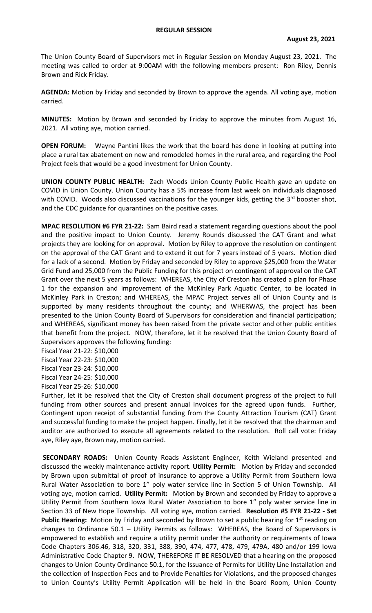The Union County Board of Supervisors met in Regular Session on Monday August 23, 2021. The meeting was called to order at 9:00AM with the following members present: Ron Riley, Dennis Brown and Rick Friday.

**AGENDA:** Motion by Friday and seconded by Brown to approve the agenda. All voting aye, motion carried.

**MINUTES:** Motion by Brown and seconded by Friday to approve the minutes from August 16, 2021. All voting aye, motion carried.

**OPEN FORUM:** Wayne Pantini likes the work that the board has done in looking at putting into place a rural tax abatement on new and remodeled homes in the rural area, and regarding the Pool Project feels that would be a good investment for Union County.

**UNION COUNTY PUBLIC HEALTH:** Zach Woods Union County Public Health gave an update on COVID in Union County. Union County has a 5% increase from last week on individuals diagnosed with COVID. Woods also discussed vaccinations for the younger kids, getting the  $3<sup>rd</sup>$  booster shot, and the CDC guidance for quarantines on the positive cases.

**MPAC RESOLUTION #6 FYR 21-22:** Sam Baird read a statement regarding questions about the pool and the positive impact to Union County. Jeremy Rounds discussed the CAT Grant and what projects they are looking for on approval. Motion by Riley to approve the resolution on contingent on the approval of the CAT Grant and to extend it out for 7 years instead of 5 years. Motion died for a lack of a second. Motion by Friday and seconded by Riley to approve \$25,000 from the Water Grid Fund and 25,000 from the Public Funding for this project on contingent of approval on the CAT Grant over the next 5 years as follows: WHEREAS, the City of Creston has created a plan for Phase 1 for the expansion and improvement of the McKinley Park Aquatic Center, to be located in McKinley Park in Creston; and WHEREAS, the MPAC Project serves all of Union County and is supported by many residents throughout the county; and WHERWAS, the project has been presented to the Union County Board of Supervisors for consideration and financial participation; and WHEREAS, significant money has been raised from the private sector and other public entities that benefit from the project. NOW, therefore, let it be resolved that the Union County Board of Supervisors approves the following funding:

Fiscal Year 21-22: \$10,000 Fiscal Year 22-23: \$10,000 Fiscal Year 23-24: \$10,000 Fiscal Year 24-25: \$10,000 Fiscal Year 25-26: \$10,000

Further, let it be resolved that the City of Creston shall document progress of the project to full funding from other sources and present annual invoices for the agreed upon funds. Further, Contingent upon receipt of substantial funding from the County Attraction Tourism (CAT) Grant and successful funding to make the project happen. Finally, let it be resolved that the chairman and auditor are authorized to execute all agreements related to the resolution. Roll call vote: Friday aye, Riley aye, Brown nay, motion carried.

**SECONDARY ROADS:** Union County Roads Assistant Engineer, Keith Wieland presented and discussed the weekly maintenance activity report. **Utility Permit:** Motion by Friday and seconded by Brown upon submittal of proof of insurance to approve a Utility Permit from Southern Iowa Rural Water Association to bore 1" poly water service line in Section 5 of Union Township. All voting aye, motion carried. **Utility Permit:** Motion by Brown and seconded by Friday to approve a Utility Permit from Southern Iowa Rural Water Association to bore 1" poly water service line in Section 33 of New Hope Township. All voting aye, motion carried. **Resolution #5 FYR 21-22 - Set Public Hearing:** Motion by Friday and seconded by Brown to set a public hearing for 1<sup>st</sup> reading on changes to Ordinance 50.1 – Utility Permits as follows: WHEREAS, the Board of Supervisors is empowered to establish and require a utility permit under the authority or requirements of Iowa Code Chapters 306.46, 318, 320, 331, 388, 390, 474, 477, 478, 479, 479A, 480 and/or 199 Iowa Administrative Code Chapter 9. NOW, THEREFORE IT BE RESOLVED that a hearing on the proposed changes to Union County Ordinance 50.1, for the Issuance of Permits for Utility Line Installation and the collection of Inspection Fees and to Provide Penalties for Violations, and the proposed changes to Union County's Utility Permit Application will be held in the Board Room, Union County